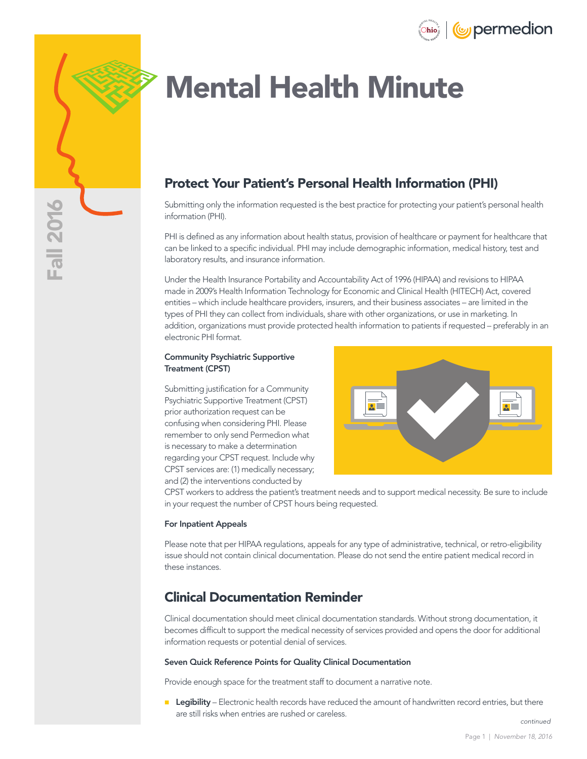



# Mental Health Minute

## Protect Your Patient's Personal Health Information (PHI)

Submitting only the information requested is the best practice for protecting your patient's personal health information (PHI).

PHI is defined as any information about health status, provision of healthcare or payment for healthcare that can be linked to a specific individual. PHI may include demographic information, medical history, test and laboratory results, and insurance information.

Under the Health Insurance Portability and Accountability Act of 1996 (HIPAA) and revisions to HIPAA made in 2009's Health Information Technology for Economic and Clinical Health (HITECH) Act, covered entities – which include healthcare providers, insurers, and their business associates – are limited in the types of PHI they can collect from individuals, share with other organizations, or use in marketing. In addition, organizations must provide protected health information to patients if requested – preferably in an electronic PHI format.

#### Community Psychiatric Supportive Treatment (CPST)

Submitting justification for a Community Psychiatric Supportive Treatment (CPST) prior authorization request can be confusing when considering PHI. Please remember to only send Permedion what is necessary to make a determination regarding your CPST request. Include why CPST services are: (1) medically necessary; and (2) the interventions conducted by



CPST workers to address the patient's treatment needs and to support medical necessity. Be sure to include in your request the number of CPST hours being requested.

#### For Inpatient Appeals

Please note that per HIPAA regulations, appeals for any type of administrative, technical, or retro-eligibility issue should not contain clinical documentation. Please do not send the entire patient medical record in these instances.

## Clinical Documentation Reminder

Clinical documentation should meet clinical documentation standards. Without strong documentation, it becomes difficult to support the medical necessity of services provided and opens the door for additional information requests or potential denial of services.

#### Seven Quick Reference Points for Quality Clinical Documentation

Provide enough space for the treatment staff to document a narrative note.

**Legibility** – Electronic health records have reduced the amount of handwritten record entries, but there are still risks when entries are rushed or careless.